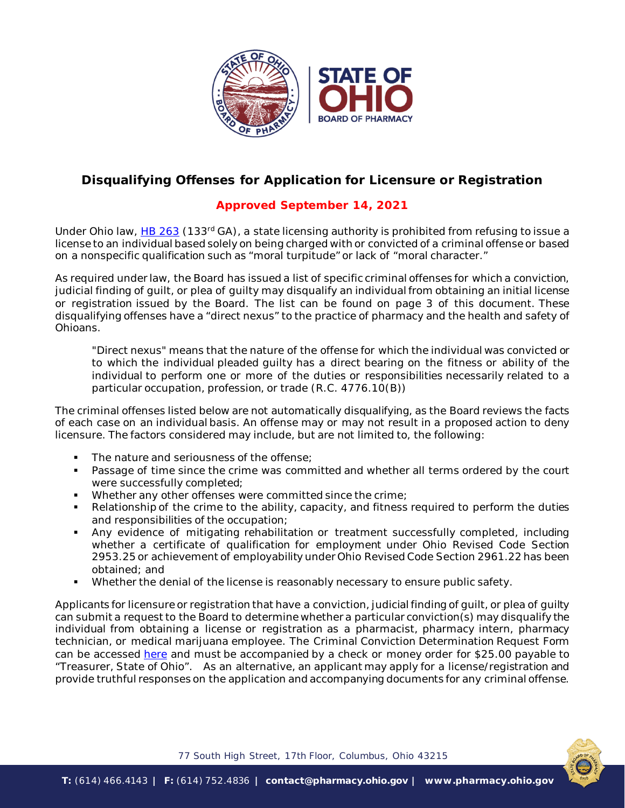

## **Disqualifying Offenses for Application for Licensure or Registration**

## **Approved September 14, 2021**

Under Ohio law, [HB 263](https://www.legislature.ohio.gov/legislation/legislation-summary?id=GA133-HB-263) (133<sup>rd</sup> GA), a state licensing authority is prohibited from refusing to issue a license to an individual based solely on being charged with or convicted of a criminal offense or based on a nonspecific qualification such as "moral turpitude" or lack of "moral character."

As required under law, the Board has issued a list of specific criminal offenses for which a conviction, judicial finding of guilt, or plea of guilty may disqualify an individual from obtaining an initial license or registration issued by the Board. The list can be found on page 3 of this document. These disqualifying offenses have a "direct nexus" to the practice of pharmacy and the health and safety of Ohioans.

*"Direct nexus" means that the nature of the offense for which the individual was convicted or to which the individual pleaded guilty has a direct bearing on the fitness or ability of the individual to perform one or more of the duties or responsibilities necessarily related to a particular occupation, profession, or trade (R.C. 4776.10(B))*

The criminal offenses listed below are not automatically disqualifying, as the Board reviews the facts of each case on an individual basis. An offense may or may not result in a proposed action to deny licensure. The factors considered may include, but are not limited to, the following:

- The nature and seriousness of the offense;
- **Passage of time since the crime was committed and whether all terms ordered by the court** were successfully completed;
- Whether any other offenses were committed since the crime;
- Relationship of the crime to the ability, capacity, and fitness required to perform the duties and responsibilities of the occupation;
- Any evidence of mitigating rehabilitation or treatment successfully completed, including whether a certificate of qualification for employment under Ohio Revised Code Section 2953.25 or achievement of employability under Ohio Revised Code Section 2961.22 has been obtained; and
- Whether the denial of the license is reasonably necessary to ensure public safety.

Applicants for licensure or registration that have a conviction, judicial finding of guilt, or plea of guilty can submit a request to the Board to determine whether a particular conviction(s) may disqualify the individual from obtaining a license or registration as a pharmacist, pharmacy intern, pharmacy technician, or medical marijuana employee. The Criminal Conviction Determination Request Form can be accessed [here](https://www.pharmacy.ohio.gov/Documents/Licensing/PTech/Forms/Criminal%20Conviction%20Determination%20Request%20Form%20-%20Pharmacists,%20Interns%20and%20Technicians.pdf) and must be accompanied by a check or money order for \$25.00 payable to "Treasurer, State of Ohio". As an alternative, an applicant may apply for a license/registration and provide truthful responses on the application and accompanying documents for any criminal offense.



77 South High Street, 17th Floor, Columbus, Ohio 43215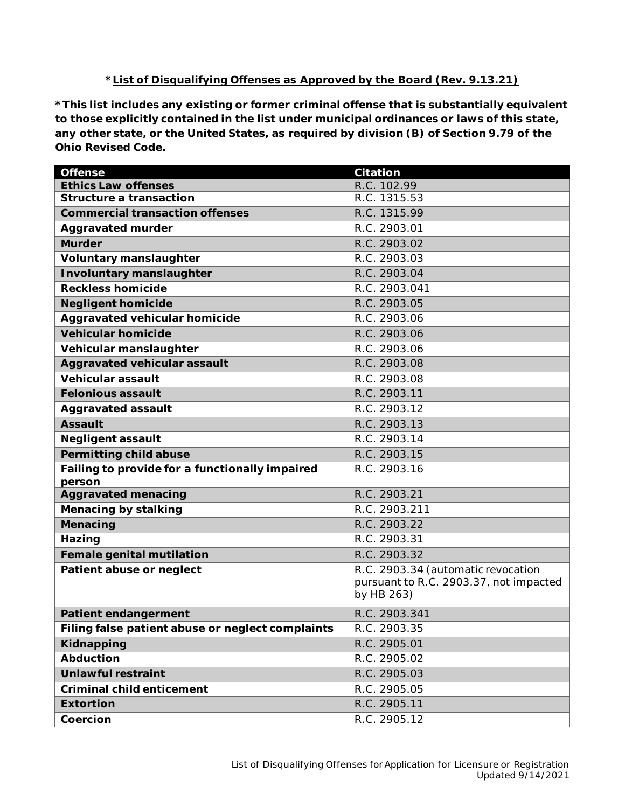## **\*List of Disqualifying Offenses as Approved by the Board (Rev. 9.13.21)**

**\*This list includes any existing or former criminal offense that is substantially equivalent to those explicitly contained in the list under municipal ordinances or laws of this state, any other state, or the United States, as required by division (B) of Section 9.79 of the Ohio Revised Code.** 

| <b>Offense</b>                                   | <b>Citation</b>                        |
|--------------------------------------------------|----------------------------------------|
| <b>Ethics Law offenses</b>                       | R.C. 102.99                            |
| <b>Structure a transaction</b>                   | R.C. 1315.53                           |
| <b>Commercial transaction offenses</b>           | R.C. 1315.99                           |
| <b>Aggravated murder</b>                         | R.C. 2903.01                           |
| <b>Murder</b>                                    | R.C. 2903.02                           |
| <b>Voluntary manslaughter</b>                    | R.C. 2903.03                           |
| <b>Involuntary manslaughter</b>                  | R.C. 2903.04                           |
| <b>Reckless homicide</b>                         | R.C. 2903.041                          |
| <b>Negligent homicide</b>                        | R.C. 2903.05                           |
| <b>Aggravated vehicular homicide</b>             | R.C. 2903.06                           |
| <b>Vehicular homicide</b>                        | R.C. 2903.06                           |
| Vehicular manslaughter                           | R.C. 2903.06                           |
| <b>Aggravated vehicular assault</b>              | R.C. 2903.08                           |
| <b>Vehicular assault</b>                         | R.C. 2903.08                           |
| <b>Felonious assault</b>                         | R.C. 2903.11                           |
| <b>Aggravated assault</b>                        | R.C. 2903.12                           |
| <b>Assault</b>                                   | R.C. 2903.13                           |
| <b>Negligent assault</b>                         | R.C. 2903.14                           |
| Permitting child abuse                           | R.C. 2903.15                           |
| Failing to provide for a functionally impaired   | R.C. 2903.16                           |
| person<br><b>Aggravated menacing</b>             | R.C. 2903.21                           |
| <b>Menacing by stalking</b>                      | R.C. 2903.211                          |
| Menacing                                         | R.C. 2903.22                           |
| Hazing                                           | R.C. 2903.31                           |
| <b>Female genital mutilation</b>                 | R.C. 2903.32                           |
| Patient abuse or neglect                         | R.C. 2903.34 (automatic revocation     |
|                                                  | pursuant to R.C. 2903.37, not impacted |
|                                                  | by HB 263)                             |
| <b>Patient endangerment</b>                      | R.C. 2903.341                          |
| Filing false patient abuse or neglect complaints | R.C. 2903.35                           |
| Kidnapping                                       | R.C. 2905.01                           |
| <b>Abduction</b>                                 | R.C. 2905.02                           |
| <b>Unlawful restraint</b>                        | R.C. 2905.03                           |
| <b>Criminal child enticement</b>                 | R.C. 2905.05                           |
| <b>Extortion</b>                                 | R.C. 2905.11                           |
| Coercion                                         | R.C. 2905.12                           |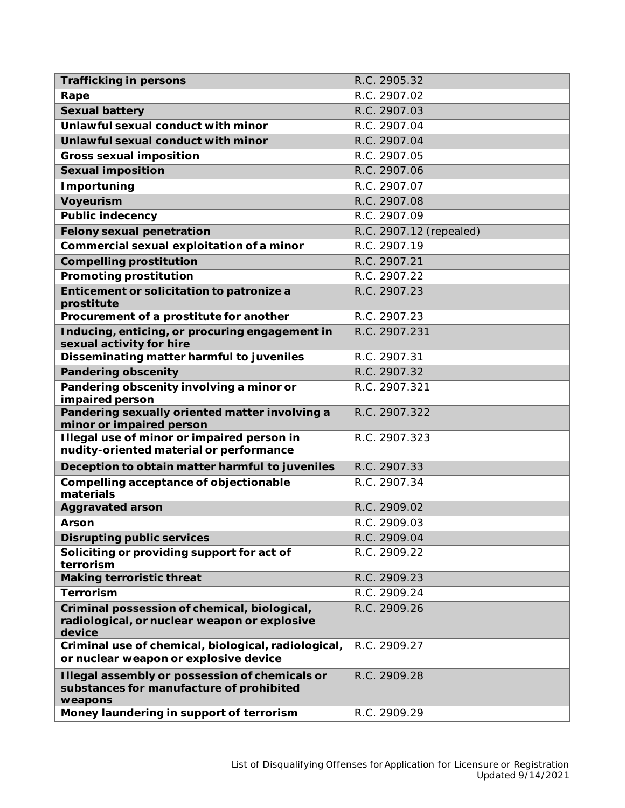| <b>Trafficking in persons</b>                                                                          | R.C. 2905.32            |
|--------------------------------------------------------------------------------------------------------|-------------------------|
| Rape                                                                                                   | R.C. 2907.02            |
| <b>Sexual battery</b>                                                                                  | R.C. 2907.03            |
| Unlawful sexual conduct with minor                                                                     | R.C. 2907.04            |
| Unlawful sexual conduct with minor                                                                     | R.C. 2907.04            |
| <b>Gross sexual imposition</b>                                                                         | R.C. 2907.05            |
| <b>Sexual imposition</b>                                                                               | R.C. 2907.06            |
| <b>Importuning</b>                                                                                     | R.C. 2907.07            |
| <b>Voyeurism</b>                                                                                       | R.C. 2907.08            |
| <b>Public indecency</b>                                                                                | R.C. 2907.09            |
| <b>Felony sexual penetration</b>                                                                       | R.C. 2907.12 (repealed) |
| Commercial sexual exploitation of a minor                                                              | R.C. 2907.19            |
| <b>Compelling prostitution</b>                                                                         | R.C. 2907.21            |
| <b>Promoting prostitution</b>                                                                          | R.C. 2907.22            |
| Enticement or solicitation to patronize a<br>prostitute                                                | R.C. 2907.23            |
| Procurement of a prostitute for another                                                                | R.C. 2907.23            |
| Inducing, enticing, or procuring engagement in<br>sexual activity for hire                             | R.C. 2907.231           |
| Disseminating matter harmful to juveniles                                                              | R.C. 2907.31            |
| <b>Pandering obscenity</b>                                                                             | R.C. 2907.32            |
| Pandering obscenity involving a minor or<br>impaired person                                            | R.C. 2907.321           |
| Pandering sexually oriented matter involving a<br>minor or impaired person                             | R.C. 2907.322           |
| Illegal use of minor or impaired person in<br>nudity-oriented material or performance                  | R.C. 2907.323           |
| Deception to obtain matter harmful to juveniles                                                        | R.C. 2907.33            |
| Compelling acceptance of objectionable<br>materials                                                    | R.C. 2907.34            |
| <b>Aggravated arson</b>                                                                                | R.C. 2909.02            |
| <b>Arson</b>                                                                                           | R.C. 2909.03            |
| <b>Disrupting public services</b>                                                                      | R.C. 2909.04            |
| Soliciting or providing support for act of<br>terrorism                                                | R.C. 2909.22            |
| <b>Making terroristic threat</b>                                                                       | R.C. 2909.23            |
| <b>Terrorism</b>                                                                                       | R.C. 2909.24            |
| Criminal possession of chemical, biological,<br>radiological, or nuclear weapon or explosive<br>device | R.C. 2909.26            |
| Criminal use of chemical, biological, radiological,<br>or nuclear weapon or explosive device           | R.C. 2909.27            |
| Illegal assembly or possession of chemicals or<br>substances for manufacture of prohibited<br>weapons  | R.C. 2909.28            |
| Money laundering in support of terrorism                                                               | R.C. 2909.29            |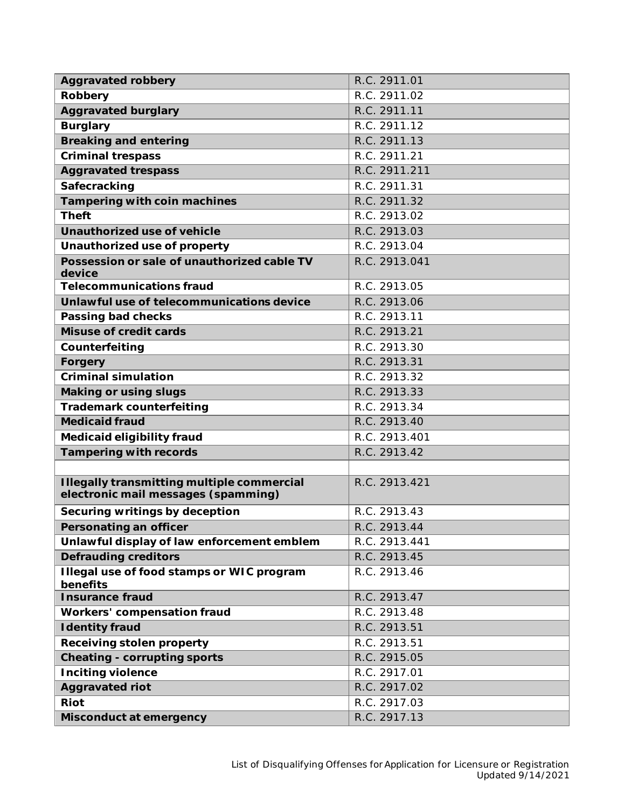| <b>Aggravated robbery</b>                                                                | R.C. 2911.01  |
|------------------------------------------------------------------------------------------|---------------|
| Robbery                                                                                  | R.C. 2911.02  |
| <b>Aggravated burglary</b>                                                               | R.C. 2911.11  |
| <b>Burglary</b>                                                                          | R.C. 2911.12  |
| <b>Breaking and entering</b>                                                             | R.C. 2911.13  |
| <b>Criminal trespass</b>                                                                 | R.C. 2911.21  |
| <b>Aggravated trespass</b>                                                               | R.C. 2911.211 |
| Safecracking                                                                             | R.C. 2911.31  |
| <b>Tampering with coin machines</b>                                                      | R.C. 2911.32  |
| <b>Theft</b>                                                                             | R.C. 2913.02  |
| Unauthorized use of vehicle                                                              | R.C. 2913.03  |
| Unauthorized use of property                                                             | R.C. 2913.04  |
| Possession or sale of unauthorized cable TV<br>device                                    | R.C. 2913.041 |
| <b>Telecommunications fraud</b>                                                          | R.C. 2913.05  |
| Unlawful use of telecommunications device                                                | R.C. 2913.06  |
| Passing bad checks                                                                       | R.C. 2913.11  |
| <b>Misuse of credit cards</b>                                                            | R.C. 2913.21  |
| Counterfeiting                                                                           | R.C. 2913.30  |
| Forgery                                                                                  | R.C. 2913.31  |
| <b>Criminal simulation</b>                                                               | R.C. 2913.32  |
| <b>Making or using slugs</b>                                                             | R.C. 2913.33  |
| <b>Trademark counterfeiting</b>                                                          | R.C. 2913.34  |
| <b>Medicaid fraud</b>                                                                    | R.C. 2913.40  |
| <b>Medicaid eligibility fraud</b>                                                        | R.C. 2913.401 |
| <b>Tampering with records</b>                                                            | R.C. 2913.42  |
|                                                                                          |               |
| <b>Illegally transmitting multiple commercial</b><br>electronic mail messages (spamming) | R.C. 2913.421 |
| Securing writings by deception                                                           | R.C. 2913.43  |
| Personating an officer                                                                   | R.C. 2913.44  |
| Unlawful display of law enforcement emblem                                               | R.C. 2913.441 |
| <b>Defrauding creditors</b>                                                              | R.C. 2913.45  |
| Illegal use of food stamps or WIC program<br>benefits                                    | R.C. 2913.46  |
| <b>Insurance fraud</b>                                                                   | R.C. 2913.47  |
| <b>Workers' compensation fraud</b>                                                       | R.C. 2913.48  |
| <b>Identity fraud</b>                                                                    | R.C. 2913.51  |
| <b>Receiving stolen property</b>                                                         | R.C. 2913.51  |
| <b>Cheating - corrupting sports</b>                                                      | R.C. 2915.05  |
| <b>Inciting violence</b>                                                                 | R.C. 2917.01  |
| <b>Aggravated riot</b>                                                                   | R.C. 2917.02  |
| Riot                                                                                     | R.C. 2917.03  |
| Misconduct at emergency                                                                  | R.C. 2917.13  |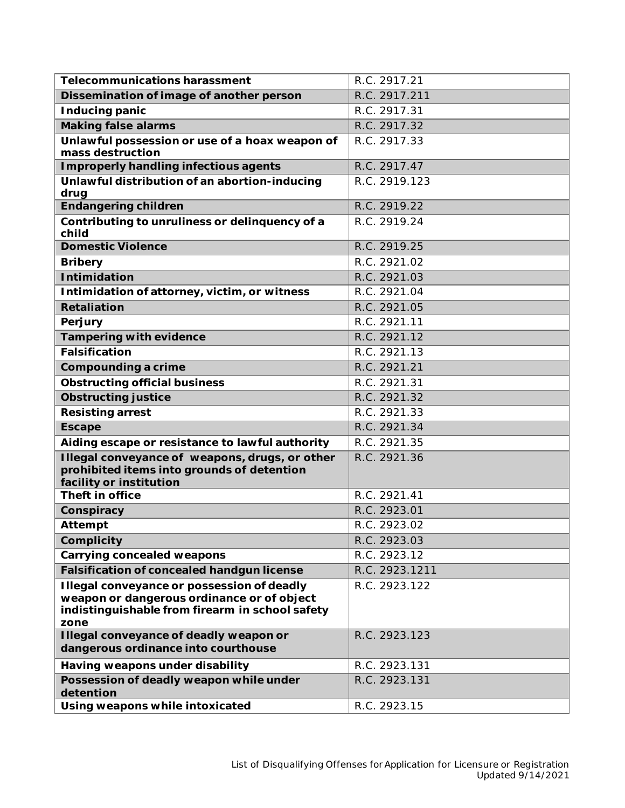| <b>Telecommunications harassment</b>                                                                                                                | R.C. 2917.21   |
|-----------------------------------------------------------------------------------------------------------------------------------------------------|----------------|
| Dissemination of image of another person                                                                                                            | R.C. 2917.211  |
| <b>Inducing panic</b>                                                                                                                               | R.C. 2917.31   |
| <b>Making false alarms</b>                                                                                                                          | R.C. 2917.32   |
| Unlawful possession or use of a hoax weapon of<br>mass destruction                                                                                  | R.C. 2917.33   |
| <b>Improperly handling infectious agents</b>                                                                                                        | R.C. 2917.47   |
| Unlawful distribution of an abortion-inducing<br>drug                                                                                               | R.C. 2919.123  |
| <b>Endangering children</b>                                                                                                                         | R.C. 2919.22   |
| Contributing to unruliness or delinquency of a<br>child                                                                                             | R.C. 2919.24   |
| <b>Domestic Violence</b>                                                                                                                            | R.C. 2919.25   |
| <b>Bribery</b>                                                                                                                                      | R.C. 2921.02   |
| <b>Intimidation</b>                                                                                                                                 | R.C. 2921.03   |
| Intimidation of attorney, victim, or witness                                                                                                        | R.C. 2921.04   |
| <b>Retaliation</b>                                                                                                                                  | R.C. 2921.05   |
| Perjury                                                                                                                                             | R.C. 2921.11   |
| <b>Tampering with evidence</b>                                                                                                                      | R.C. 2921.12   |
| <b>Falsification</b>                                                                                                                                | R.C. 2921.13   |
| Compounding a crime                                                                                                                                 | R.C. 2921.21   |
| <b>Obstructing official business</b>                                                                                                                | R.C. 2921.31   |
| <b>Obstructing justice</b>                                                                                                                          | R.C. 2921.32   |
| <b>Resisting arrest</b>                                                                                                                             | R.C. 2921.33   |
| <b>Escape</b>                                                                                                                                       | R.C. 2921.34   |
| Aiding escape or resistance to lawful authority                                                                                                     | R.C. 2921.35   |
| Illegal conveyance of weapons, drugs, or other<br>prohibited items into grounds of detention<br>facility or institution                             | R.C. 2921.36   |
| Theft in office                                                                                                                                     | R.C. 2921.41   |
| Conspiracy                                                                                                                                          | R.C. 2923.01   |
| <b>Attempt</b>                                                                                                                                      | R.C. 2923.02   |
| <b>Complicity</b>                                                                                                                                   | R.C. 2923.03   |
| <b>Carrying concealed weapons</b>                                                                                                                   | R.C. 2923.12   |
| <b>Falsification of concealed handgun license</b>                                                                                                   | R.C. 2923.1211 |
| Illegal conveyance or possession of deadly<br>weapon or dangerous ordinance or of object<br>indistinguishable from firearm in school safety<br>zone | R.C. 2923.122  |
| Illegal conveyance of deadly weapon or<br>dangerous ordinance into courthouse                                                                       | R.C. 2923.123  |
| Having weapons under disability                                                                                                                     | R.C. 2923.131  |
| Possession of deadly weapon while under<br>detention                                                                                                | R.C. 2923.131  |
| Using weapons while intoxicated                                                                                                                     | R.C. 2923.15   |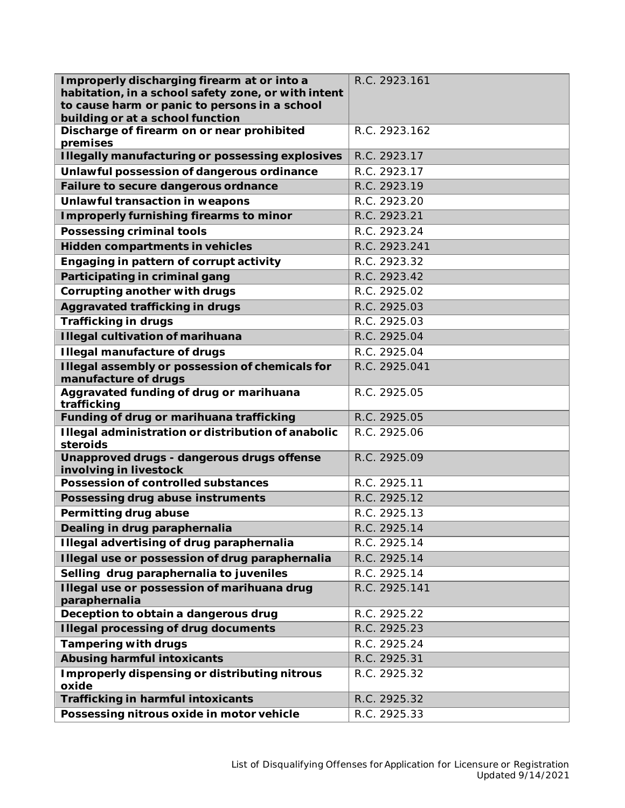| Improperly discharging firearm at or into a                                                          | R.C. 2923.161 |
|------------------------------------------------------------------------------------------------------|---------------|
| habitation, in a school safety zone, or with intent<br>to cause harm or panic to persons in a school |               |
| building or at a school function                                                                     |               |
| Discharge of firearm on or near prohibited<br>premises                                               | R.C. 2923.162 |
| <b>Illegally manufacturing or possessing explosives</b>                                              | R.C. 2923.17  |
| Unlawful possession of dangerous ordinance                                                           | R.C. 2923.17  |
| Failure to secure dangerous ordnance                                                                 | R.C. 2923.19  |
| Unlawful transaction in weapons                                                                      | R.C. 2923.20  |
| Improperly furnishing firearms to minor                                                              | R.C. 2923.21  |
| <b>Possessing criminal tools</b>                                                                     | R.C. 2923.24  |
| Hidden compartments in vehicles                                                                      | R.C. 2923.241 |
| Engaging in pattern of corrupt activity                                                              | R.C. 2923.32  |
| Participating in criminal gang                                                                       | R.C. 2923.42  |
| Corrupting another with drugs                                                                        | R.C. 2925.02  |
| Aggravated trafficking in drugs                                                                      | R.C. 2925.03  |
| <b>Trafficking in drugs</b>                                                                          | R.C. 2925.03  |
| <b>Illegal cultivation of marihuana</b>                                                              | R.C. 2925.04  |
| <b>Illegal manufacture of drugs</b>                                                                  | R.C. 2925.04  |
| Illegal assembly or possession of chemicals for<br>manufacture of drugs                              | R.C. 2925.041 |
| Aggravated funding of drug or marihuana<br>trafficking                                               | R.C. 2925.05  |
| Funding of drug or marihuana trafficking                                                             | R.C. 2925.05  |
| Illegal administration or distribution of anabolic<br>steroids                                       | R.C. 2925.06  |
| Unapproved drugs - dangerous drugs offense<br>involving in livestock                                 | R.C. 2925.09  |
| <b>Possession of controlled substances</b>                                                           | R.C. 2925.11  |
| Possessing drug abuse instruments                                                                    | R.C. 2925.12  |
| Permitting drug abuse                                                                                | R.C. 2925.13  |
| Dealing in drug paraphernalia                                                                        | R.C. 2925.14  |
| Illegal advertising of drug paraphernalia                                                            | R.C. 2925.14  |
| Illegal use or possession of drug paraphernalia                                                      | R.C. 2925.14  |
| Selling drug paraphernalia to juveniles                                                              | R.C. 2925.14  |
| Illegal use or possession of marihuana drug<br>paraphernalia                                         | R.C. 2925.141 |
| Deception to obtain a dangerous drug                                                                 | R.C. 2925.22  |
| <b>Illegal processing of drug documents</b>                                                          | R.C. 2925.23  |
| <b>Tampering with drugs</b>                                                                          | R.C. 2925.24  |
| <b>Abusing harmful intoxicants</b>                                                                   | R.C. 2925.31  |
| Improperly dispensing or distributing nitrous<br>oxide                                               | R.C. 2925.32  |
| <b>Trafficking in harmful intoxicants</b>                                                            | R.C. 2925.32  |
| Possessing nitrous oxide in motor vehicle                                                            | R.C. 2925.33  |